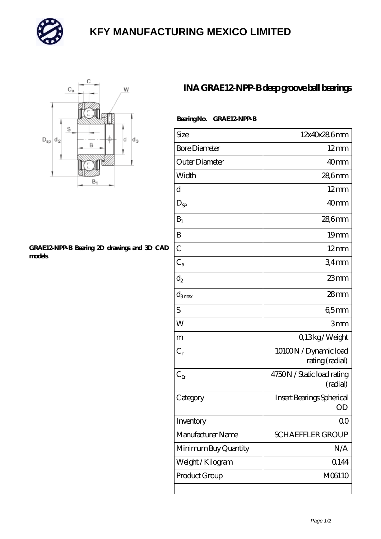

## **[KFY MANUFACTURING MEXICO LIMITED](https://m.mailemotion.tv)**



## **[GRAE12-NPP-B Bearing 2D drawings and 3D CAD](https://m.mailemotion.tv/pic-413126.html) [models](https://m.mailemotion.tv/pic-413126.html)**

## **[INA GRAE12-NPP-B deep groove ball bearings](https://m.mailemotion.tv/au-413126-ina-grae12-npp-b-deep-groove-ball-bearings.html)**

| Bearing No. GRAE12 NPP-B |
|--------------------------|
|                          |

| Size                 | 12x40x286mm                              |
|----------------------|------------------------------------------|
| <b>Bore Diameter</b> | $12 \text{mm}$                           |
| Outer Diameter       | 40 <sub>mm</sub>                         |
| Width                | 28,6mm                                   |
| d                    | $12 \text{mm}$                           |
| $D_{SP}$             | 40mm                                     |
| $B_1$                | 286mm                                    |
| B                    | 19mm                                     |
| $\overline{C}$       | $12 \text{mm}$                           |
| $C_{a}$              | 34 <sub>mm</sub>                         |
| $d_2$                | $23$ mm                                  |
| $d_{3max}$           | 28mm                                     |
| S                    | 65mm                                     |
| W                    | 3mm                                      |
| m                    | Q13kg/Weight                             |
| $C_r$                | 10100N / Dynamic load<br>rating (radial) |
| $C_{\alpha}$         | 4750N / Static load rating<br>(radial)   |
| Category             | Insert Bearings Spherical<br>OD          |
| Inventory            | 0 <sup>0</sup>                           |
| Manufacturer Name    | <b>SCHAEFFLER GROUP</b>                  |
| Minimum Buy Quantity | N/A                                      |
| Weight / Kilogram    | 0.144                                    |
| Product Group        | M06110                                   |
|                      |                                          |